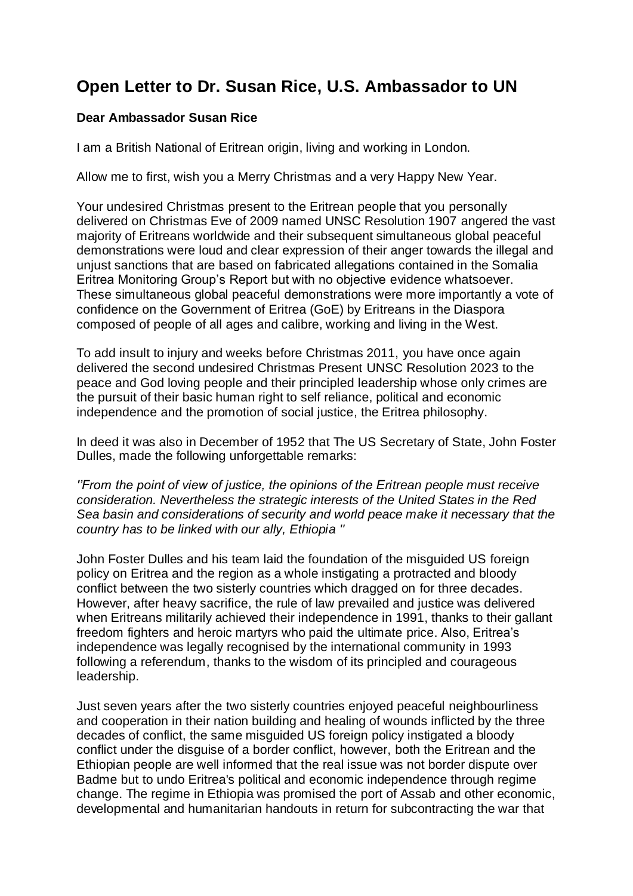## **Open Letter to Dr. Susan Rice, U.S. Ambassador to UN**

## **Dear Ambassador Susan Rice**

I am a British National of Eritrean origin, living and working in London.

Allow me to first, wish you a Merry Christmas and a very Happy New Year.

Your undesired Christmas present to the Eritrean people that you personally delivered on Christmas Eve of 2009 named UNSC Resolution 1907 angered the vast majority of Eritreans worldwide and their subsequent simultaneous global peaceful demonstrations were loud and clear expression of their anger towards the illegal and unjust sanctions that are based on fabricated allegations contained in the Somalia Eritrea Monitoring Group's Report but with no objective evidence whatsoever. These simultaneous global peaceful demonstrations were more importantly a vote of confidence on the Government of Eritrea (GoE) by Eritreans in the Diaspora composed of people of all ages and calibre, working and living in the West.

To add insult to injury and weeks before Christmas 2011, you have once again delivered the second undesired Christmas Present UNSC Resolution 2023 to the peace and God loving people and their principled leadership whose only crimes are the pursuit of their basic human right to self reliance, political and economic independence and the promotion of social justice, the Eritrea philosophy.

In deed it was also in December of 1952 that The US Secretary of State, John Foster Dulles, made the following unforgettable remarks:

*''From the point of view of justice, the opinions of the Eritrean people must receive consideration. Nevertheless the strategic interests of the United States in the Red Sea basin and considerations of security and world peace make it necessary that the country has to be linked with our ally, Ethiopia ''*

John Foster Dulles and his team laid the foundation of the misguided US foreign policy on Eritrea and the region as a whole instigating a protracted and bloody conflict between the two sisterly countries which dragged on for three decades. However, after heavy sacrifice, the rule of law prevailed and justice was delivered when Eritreans militarily achieved their independence in 1991, thanks to their gallant freedom fighters and heroic martyrs who paid the ultimate price. Also, Eritrea's independence was legally recognised by the international community in 1993 following a referendum, thanks to the wisdom of its principled and courageous leadership.

Just seven years after the two sisterly countries enjoyed peaceful neighbourliness and cooperation in their nation building and healing of wounds inflicted by the three decades of conflict, the same misguided US foreign policy instigated a bloody conflict under the disguise of a border conflict, however, both the Eritrean and the Ethiopian people are well informed that the real issue was not border dispute over Badme but to undo Eritrea's political and economic independence through regime change. The regime in Ethiopia was promised the port of Assab and other economic, developmental and humanitarian handouts in return for subcontracting the war that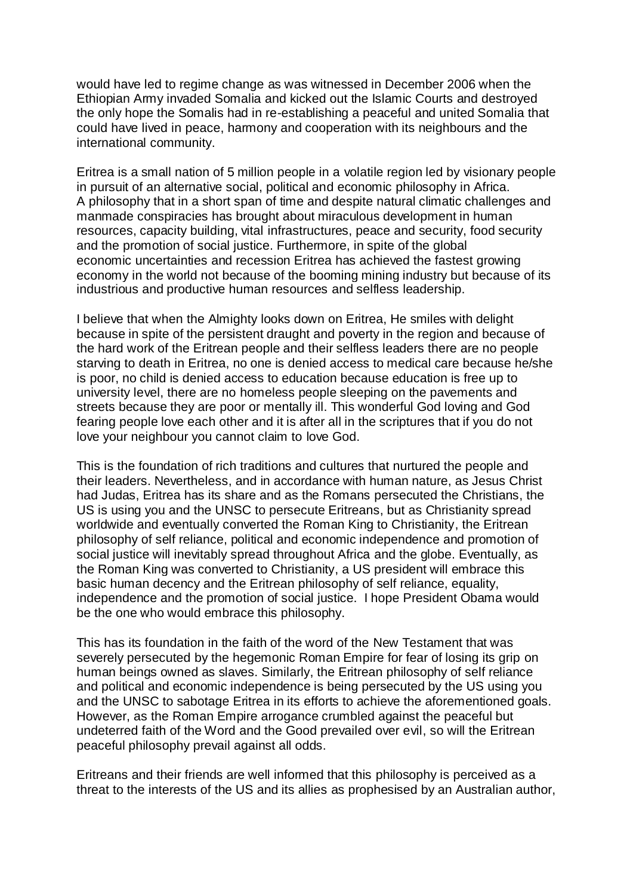would have led to regime change as was witnessed in December 2006 when the Ethiopian Army invaded Somalia and kicked out the Islamic Courts and destroyed the only hope the Somalis had in re-establishing a peaceful and united Somalia that could have lived in peace, harmony and cooperation with its neighbours and the international community.

Eritrea is a small nation of 5 million people in a volatile region led by visionary people in pursuit of an alternative social, political and economic philosophy in Africa. A philosophy that in a short span of time and despite natural climatic challenges and manmade conspiracies has brought about miraculous development in human resources, capacity building, vital infrastructures, peace and security, food security and the promotion of social justice. Furthermore, in spite of the global economic uncertainties and recession Eritrea has achieved the fastest growing economy in the world not because of the booming mining industry but because of its industrious and productive human resources and selfless leadership.

I believe that when the Almighty looks down on Eritrea, He smiles with delight because in spite of the persistent draught and poverty in the region and because of the hard work of the Eritrean people and their selfless leaders there are no people starving to death in Eritrea, no one is denied access to medical care because he/she is poor, no child is denied access to education because education is free up to university level, there are no homeless people sleeping on the pavements and streets because they are poor or mentally ill. This wonderful God loving and God fearing people love each other and it is after all in the scriptures that if you do not love your neighbour you cannot claim to love God.

This is the foundation of rich traditions and cultures that nurtured the people and their leaders. Nevertheless, and in accordance with human nature, as Jesus Christ had Judas, Eritrea has its share and as the Romans persecuted the Christians, the US is using you and the UNSC to persecute Eritreans, but as Christianity spread worldwide and eventually converted the Roman King to Christianity, the Eritrean philosophy of self reliance, political and economic independence and promotion of social justice will inevitably spread throughout Africa and the globe. Eventually, as the Roman King was converted to Christianity, a US president will embrace this basic human decency and the Eritrean philosophy of self reliance, equality, independence and the promotion of social justice. I hope President Obama would be the one who would embrace this philosophy.

This has its foundation in the faith of the word of the New Testament that was severely persecuted by the hegemonic Roman Empire for fear of losing its grip on human beings owned as slaves. Similarly, the Eritrean philosophy of self reliance and political and economic independence is being persecuted by the US using you and the UNSC to sabotage Eritrea in its efforts to achieve the aforementioned goals. However, as the Roman Empire arrogance crumbled against the peaceful but undeterred faith of the Word and the Good prevailed over evil, so will the Eritrean peaceful philosophy prevail against all odds.

Eritreans and their friends are well informed that this philosophy is perceived as a threat to the interests of the US and its allies as prophesised by an Australian author,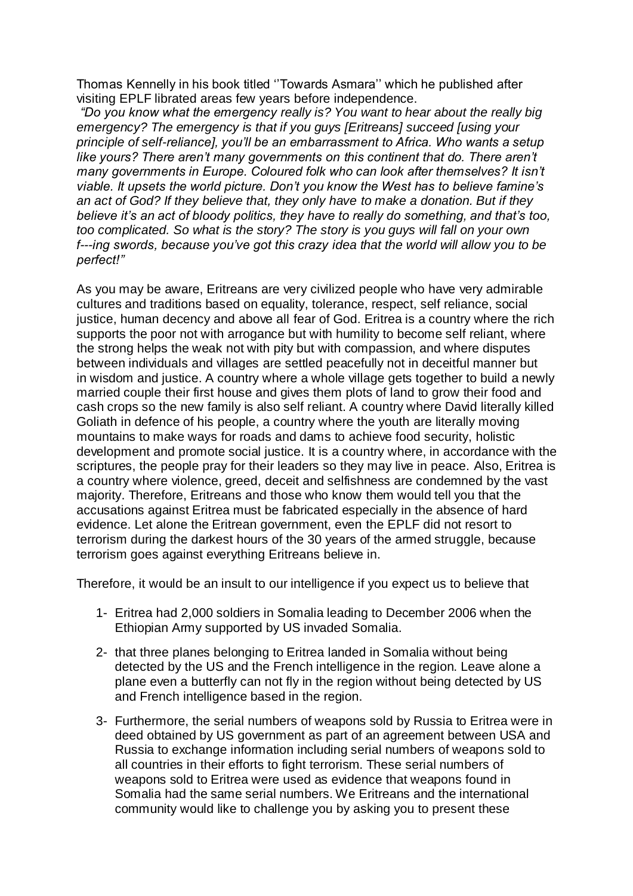Thomas Kennelly in his book titled ''Towards Asmara'' which he published after visiting EPLF librated areas few years before independence.

*"Do you know what the emergency really is? You want to hear about the really big emergency? The emergency is that if you guys [Eritreans] succeed [using your principle of self-reliance], you'll be an embarrassment to Africa. Who wants a setup like yours? There aren't many governments on this continent that do. There aren't many governments in Europe. Coloured folk who can look after themselves? It isn't viable. It upsets the world picture. Don't you know the West has to believe famine's an act of God? If they believe that, they only have to make a donation. But if they believe it's an act of bloody politics, they have to really do something, and that's too, too complicated. So what is the story? The story is you guys will fall on your own f---ing swords, because you've got this crazy idea that the world will allow you to be perfect!"*

As you may be aware, Eritreans are very civilized people who have very admirable cultures and traditions based on equality, tolerance, respect, self reliance, social justice, human decency and above all fear of God. Eritrea is a country where the rich supports the poor not with arrogance but with humility to become self reliant, where the strong helps the weak not with pity but with compassion, and where disputes between individuals and villages are settled peacefully not in deceitful manner but in wisdom and justice. A country where a whole village gets together to build a newly married couple their first house and gives them plots of land to grow their food and cash crops so the new family is also self reliant. A country where David literally killed Goliath in defence of his people, a country where the youth are literally moving mountains to make ways for roads and dams to achieve food security, holistic development and promote social justice. It is a country where, in accordance with the scriptures, the people pray for their leaders so they may live in peace. Also, Eritrea is a country where violence, greed, deceit and selfishness are condemned by the vast majority. Therefore, Eritreans and those who know them would tell you that the accusations against Eritrea must be fabricated especially in the absence of hard evidence. Let alone the Eritrean government, even the EPLF did not resort to terrorism during the darkest hours of the 30 years of the armed struggle, because terrorism goes against everything Eritreans believe in.

Therefore, it would be an insult to our intelligence if you expect us to believe that

- 1- Eritrea had 2,000 soldiers in Somalia leading to December 2006 when the Ethiopian Army supported by US invaded Somalia.
- 2- that three planes belonging to Eritrea landed in Somalia without being detected by the US and the French intelligence in the region. Leave alone a plane even a butterfly can not fly in the region without being detected by US and French intelligence based in the region.
- 3- Furthermore, the serial numbers of weapons sold by Russia to Eritrea were in deed obtained by US government as part of an agreement between USA and Russia to exchange information including serial numbers of weapons sold to all countries in their efforts to fight terrorism. These serial numbers of weapons sold to Eritrea were used as evidence that weapons found in Somalia had the same serial numbers. We Eritreans and the international community would like to challenge you by asking you to present these